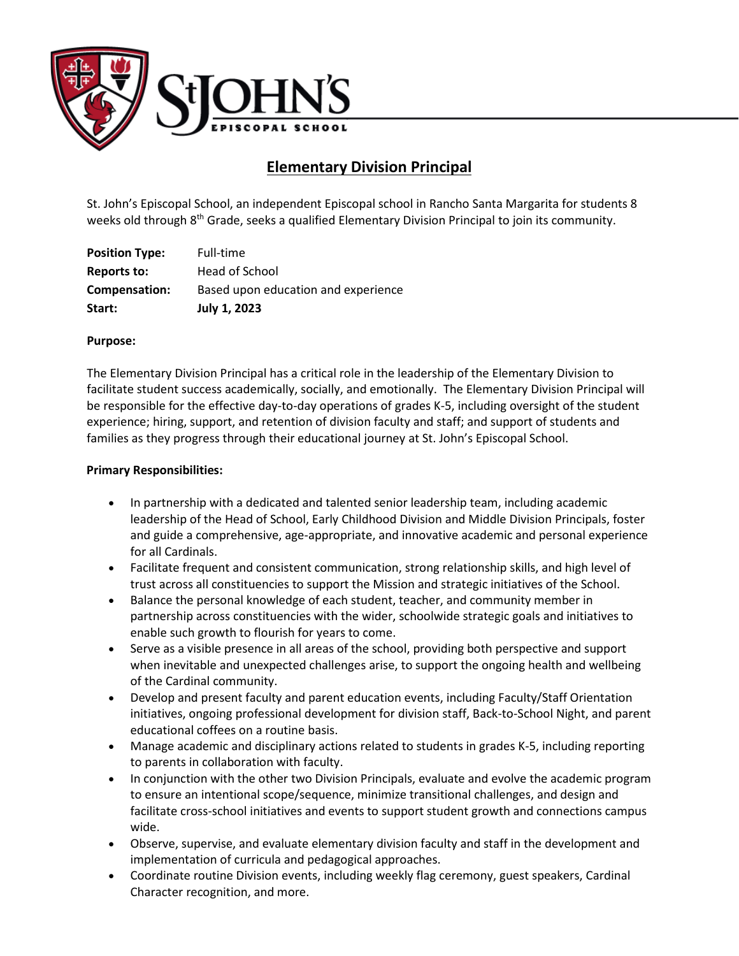

# **Elementary Division Principal**

St. John's Episcopal School, an independent Episcopal school in Rancho Santa Margarita for students 8 weeks old through 8<sup>th</sup> Grade, seeks a qualified Elementary Division Principal to join its community.

| Start:                | <b>July 1, 2023</b>                 |
|-----------------------|-------------------------------------|
| Compensation:         | Based upon education and experience |
| Reports to:           | Head of School                      |
| <b>Position Type:</b> | Full-time                           |

## **Purpose:**

The Elementary Division Principal has a critical role in the leadership of the Elementary Division to facilitate student success academically, socially, and emotionally. The Elementary Division Principal will be responsible for the effective day-to-day operations of grades K-5, including oversight of the student experience; hiring, support, and retention of division faculty and staff; and support of students and families as they progress through their educational journey at St. John's Episcopal School.

#### **Primary Responsibilities:**

- In partnership with a dedicated and talented senior leadership team, including academic leadership of the Head of School, Early Childhood Division and Middle Division Principals, foster and guide a comprehensive, age-appropriate, and innovative academic and personal experience for all Cardinals.
- Facilitate frequent and consistent communication, strong relationship skills, and high level of trust across all constituencies to support the Mission and strategic initiatives of the School.
- Balance the personal knowledge of each student, teacher, and community member in partnership across constituencies with the wider, schoolwide strategic goals and initiatives to enable such growth to flourish for years to come.
- Serve as a visible presence in all areas of the school, providing both perspective and support when inevitable and unexpected challenges arise, to support the ongoing health and wellbeing of the Cardinal community.
- Develop and present faculty and parent education events, including Faculty/Staff Orientation initiatives, ongoing professional development for division staff, Back-to-School Night, and parent educational coffees on a routine basis.
- Manage academic and disciplinary actions related to students in grades K-5, including reporting to parents in collaboration with faculty.
- In conjunction with the other two Division Principals, evaluate and evolve the academic program to ensure an intentional scope/sequence, minimize transitional challenges, and design and facilitate cross-school initiatives and events to support student growth and connections campus wide.
- Observe, supervise, and evaluate elementary division faculty and staff in the development and implementation of curricula and pedagogical approaches.
- Coordinate routine Division events, including weekly flag ceremony, guest speakers, Cardinal Character recognition, and more.